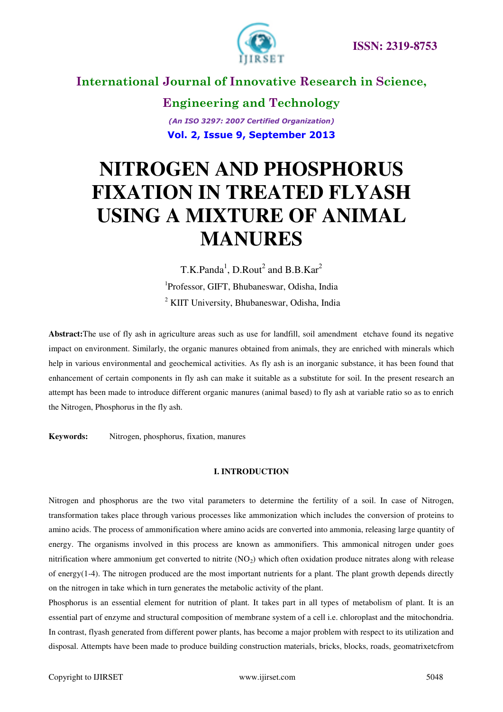

**Engineering and Technology** *(An ISO 3297: 2007 Certified Organization)*  **Vol. 2, Issue 9, September 2013**

# **NITROGEN AND PHOSPHORUS FIXATION IN TREATED FLYASH USING A MIXTURE OF ANIMAL MANURES**

T.K.Panda<sup>1</sup>, D.Rout<sup>2</sup> and B.B.Kar<sup>2</sup> 1 Professor, GIFT, Bhubaneswar, Odisha, India <sup>2</sup> KIIT University, Bhubaneswar, Odisha, India

**Abstract:**The use of fly ash in agriculture areas such as use for landfill, soil amendment etchave found its negative impact on environment. Similarly, the organic manures obtained from animals, they are enriched with minerals which help in various environmental and geochemical activities. As fly ash is an inorganic substance, it has been found that enhancement of certain components in fly ash can make it suitable as a substitute for soil. In the present research an attempt has been made to introduce different organic manures (animal based) to fly ash at variable ratio so as to enrich the Nitrogen, Phosphorus in the fly ash.

**Keywords:** Nitrogen, phosphorus, fixation, manures

#### **I. INTRODUCTION**

Nitrogen and phosphorus are the two vital parameters to determine the fertility of a soil. In case of Nitrogen, transformation takes place through various processes like ammonization which includes the conversion of proteins to amino acids. The process of ammonification where amino acids are converted into ammonia, releasing large quantity of energy. The organisms involved in this process are known as ammonifiers. This ammonical nitrogen under goes nitrification where ammonium get converted to nitrite  $(NO<sub>2</sub>)$  which often oxidation produce nitrates along with release of energy(1-4). The nitrogen produced are the most important nutrients for a plant. The plant growth depends directly on the nitrogen in take which in turn generates the metabolic activity of the plant.

Phosphorus is an essential element for nutrition of plant. It takes part in all types of metabolism of plant. It is an essential part of enzyme and structural composition of membrane system of a cell i.e. chloroplast and the mitochondria. In contrast, flyash generated from different power plants, has become a major problem with respect to its utilization and disposal. Attempts have been made to produce building construction materials, bricks, blocks, roads, geomatrixetcfrom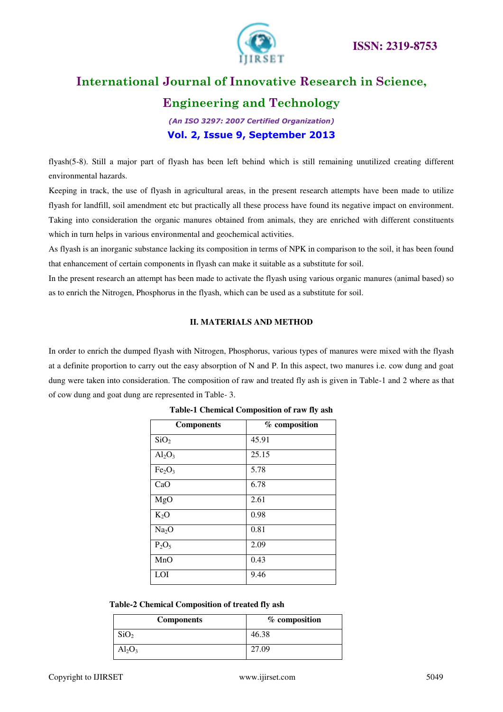

### **Engineering and Technology**

*(An ISO 3297: 2007 Certified Organization)*  **Vol. 2, Issue 9, September 2013**

flyash(5-8). Still a major part of flyash has been left behind which is still remaining unutilized creating different environmental hazards.

Keeping in track, the use of flyash in agricultural areas, in the present research attempts have been made to utilize flyash for landfill, soil amendment etc but practically all these process have found its negative impact on environment. Taking into consideration the organic manures obtained from animals, they are enriched with different constituents which in turn helps in various environmental and geochemical activities.

As flyash is an inorganic substance lacking its composition in terms of NPK in comparison to the soil, it has been found that enhancement of certain components in flyash can make it suitable as a substitute for soil.

In the present research an attempt has been made to activate the flyash using various organic manures (animal based) so as to enrich the Nitrogen, Phosphorus in the flyash, which can be used as a substitute for soil.

#### **II. MATERIALS AND METHOD**

In order to enrich the dumped flyash with Nitrogen, Phosphorus, various types of manures were mixed with the flyash at a definite proportion to carry out the easy absorption of N and P. In this aspect, two manures i.e. cow dung and goat dung were taken into consideration. The composition of raw and treated fly ash is given in Table-1 and 2 where as that of cow dung and goat dung are represented in Table- 3.

| <b>Components</b>              | % composition |
|--------------------------------|---------------|
| SiO <sub>2</sub>               | 45.91         |
| $Al_2O_3$                      | 25.15         |
| Fe <sub>2</sub> O <sub>3</sub> | 5.78          |
| CaO                            | 6.78          |
| MgO                            | 2.61          |
| $K_2O$                         | 0.98          |
| Na <sub>2</sub> O              | 0.81          |
| $P_2O_5$                       | 2.09          |
| MnO                            | 0.43          |
| LOI                            | 9.46          |

#### **Table-1 Chemical Composition of raw fly ash**

| Table-2 Chemical Composition of treated fly ash |  |  |  |
|-------------------------------------------------|--|--|--|
|-------------------------------------------------|--|--|--|

| <b>Components</b> | % composition |
|-------------------|---------------|
| SiO <sub>2</sub>  | 46.38         |
| $Al_2O_3$         | 27.09         |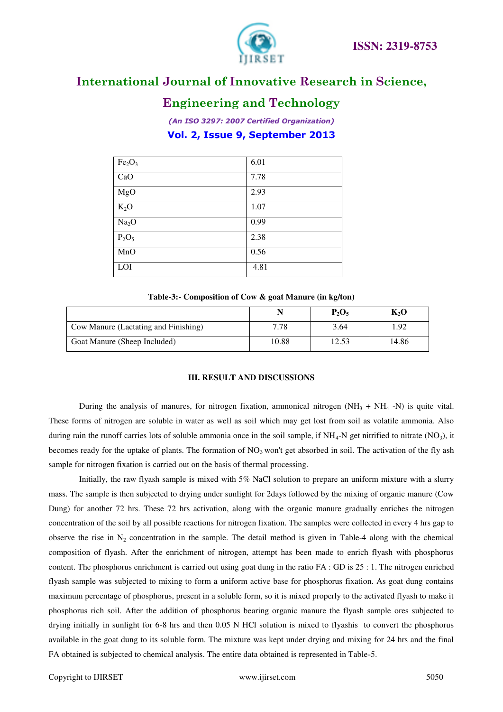

### **Engineering and Technology**

*(An ISO 3297: 2007 Certified Organization)*  **Vol. 2, Issue 9, September 2013**

| Fe <sub>2</sub> O <sub>3</sub> | 6.01 |
|--------------------------------|------|
| CaO                            | 7.78 |
| MgO                            | 2.93 |
| $K_2O$                         | 1.07 |
| Na <sub>2</sub> O              | 0.99 |
| $P_2O_5$                       | 2.38 |
| MnO                            | 0.56 |
| LOI                            | 4.81 |

#### **Table-3:- Composition of Cow & goat Manure (in kg/ton)**

|                                      | N     | $P_2O_5$ | $K_2O$ |
|--------------------------------------|-------|----------|--------|
| Cow Manure (Lactating and Finishing) | 7.78  | 3.64     | . 92   |
| Goat Manure (Sheep Included)         | 10.88 | 12.53    | 14.86  |

#### **III. RESULT AND DISCUSSIONS**

During the analysis of manures, for nitrogen fixation, ammonical nitrogen  $(NH_3 + NH_4 - N)$  is quite vital. These forms of nitrogen are soluble in water as well as soil which may get lost from soil as volatile ammonia. Also during rain the runoff carries lots of soluble ammonia once in the soil sample, if  $NH_4$ -N get nitrified to nitrate (NO<sub>3</sub>), it becomes ready for the uptake of plants. The formation of NO<sub>3</sub> won't get absorbed in soil. The activation of the fly ash sample for nitrogen fixation is carried out on the basis of thermal processing.

 Initially, the raw flyash sample is mixed with 5% NaCl solution to prepare an uniform mixture with a slurry mass. The sample is then subjected to drying under sunlight for 2days followed by the mixing of organic manure (Cow Dung) for another 72 hrs. These 72 hrs activation, along with the organic manure gradually enriches the nitrogen concentration of the soil by all possible reactions for nitrogen fixation. The samples were collected in every 4 hrs gap to observe the rise in  $N_2$  concentration in the sample. The detail method is given in Table-4 along with the chemical composition of flyash. After the enrichment of nitrogen, attempt has been made to enrich flyash with phosphorus content. The phosphorus enrichment is carried out using goat dung in the ratio  $FA : GD$  is  $25 : 1$ . The nitrogen enriched flyash sample was subjected to mixing to form a uniform active base for phosphorus fixation. As goat dung contains maximum percentage of phosphorus, present in a soluble form, so it is mixed properly to the activated flyash to make it phosphorus rich soil. After the addition of phosphorus bearing organic manure the flyash sample ores subjected to drying initially in sunlight for 6-8 hrs and then 0.05 N HCl solution is mixed to flyashis to convert the phosphorus available in the goat dung to its soluble form. The mixture was kept under drying and mixing for 24 hrs and the final FA obtained is subjected to chemical analysis. The entire data obtained is represented in Table-5.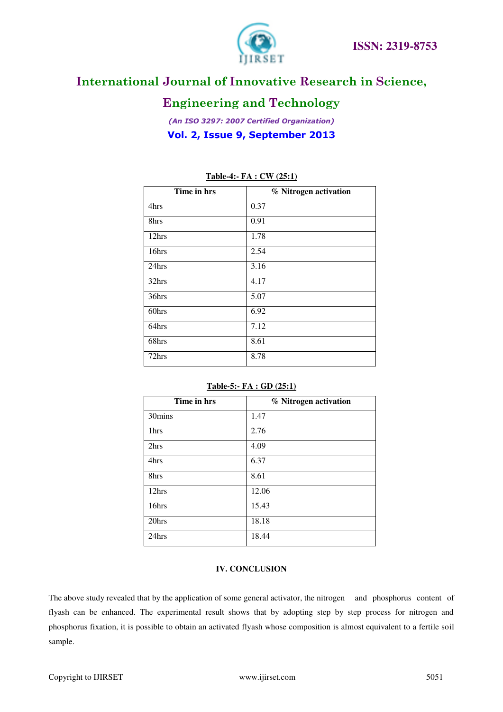

### **Engineering and Technology**

*(An ISO 3297: 2007 Certified Organization)*  **Vol. 2, Issue 9, September 2013**

| Time in hrs | % Nitrogen activation |
|-------------|-----------------------|
| 4hrs        | 0.37                  |
| 8hrs        | 0.91                  |
| 12hrs       | 1.78                  |
| 16hrs       | 2.54                  |
| 24hrs       | 3.16                  |
| 32hrs       | 4.17                  |
| 36hrs       | 5.07                  |
| 60hrs       | 6.92                  |
| 64hrs       | 7.12                  |
| 68hrs       | 8.61                  |
| 72hrs       | 8.78                  |

#### **Table-4:- FA : CW (25:1)**

#### **Table-5:- FA : GD (25:1)**

| Time in hrs | % Nitrogen activation |
|-------------|-----------------------|
| 30mins      | 1.47                  |
| 1hrs        | 2.76                  |
| 2hrs        | 4.09                  |
| 4hrs        | 6.37                  |
| 8hrs        | 8.61                  |
| 12hrs       | 12.06                 |
| 16hrs       | 15.43                 |
| 20hrs       | 18.18                 |
| 24hrs       | 18.44                 |

#### **IV. CONCLUSION**

The above study revealed that by the application of some general activator, the nitrogen and phosphorus content of flyash can be enhanced. The experimental result shows that by adopting step by step process for nitrogen and phosphorus fixation, it is possible to obtain an activated flyash whose composition is almost equivalent to a fertile soil sample.